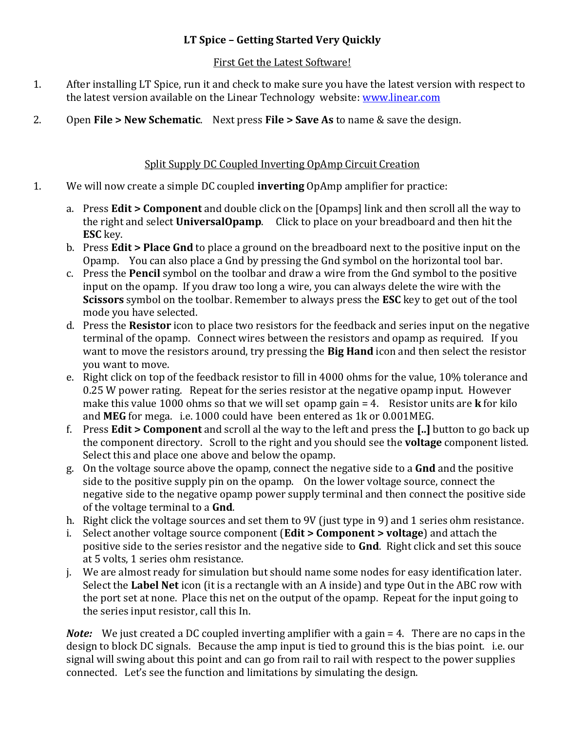## **LT Spice – Getting Started Very Quickly**

#### First Get the Latest Software!

- 1. After installing LT Spice, run it and check to make sure you have the latest version with respect to the latest version available on the Linear Technology website: www.linear.com
- 2. Open **File > New Schematic**. Next press **File > Save As** to name & save the design.

## Split Supply DC Coupled Inverting OpAmp Circuit Creation

- 1. We will now create a simple DC coupled **inverting** OpAmp amplifier for practice:
	- a. Press **Edit > Component** and double click on the [Opamps] link and then scroll all the way to the right and select **UniversalOpamp**. Click to place on your breadboard and then hit the **ESC** key.
	- b. Press **Edit > Place Gnd** to place a ground on the breadboard next to the positive input on the Opamp. You can also place a Gnd by pressing the Gnd symbol on the horizontal tool bar.
	- c. Press the **Pencil** symbol on the toolbar and draw a wire from the Gnd symbol to the positive input on the opamp. If you draw too long a wire, you can always delete the wire with the **Scissors** symbol on the toolbar. Remember to always press the **ESC** key to get out of the tool mode you have selected.
	- d. Press the **Resistor** icon to place two resistors for the feedback and series input on the negative terminal of the opamp. Connect wires between the resistors and opamp as required. If you want to move the resistors around, try pressing the **Big Hand** icon and then select the resistor you want to move.
	- e. Right click on top of the feedback resistor to fill in 4000 ohms for the value, 10% tolerance and 0.25 W power rating. Repeat for the series resistor at the negative opamp input. However make this value 1000 ohms so that we will set opamp gain = 4. Resistor units are **k** for kilo and **MEG** for mega. i.e. 1000 could have been entered as 1k or 0.001MEG.
	- f. Press **Edit > Component** and scroll al the way to the left and press the **[..]** button to go back up the component directory. Scroll to the right and you should see the **voltage** component listed. Select this and place one above and below the opamp.
	- g. On the voltage source above the opamp, connect the negative side to a **Gnd** and the positive side to the positive supply pin on the opamp. On the lower voltage source, connect the negative side to the negative opamp power supply terminal and then connect the positive side of the voltage terminal to a **Gnd**.
	- h. Right click the voltage sources and set them to 9V (just type in 9) and 1 series ohm resistance.
	- i. Select another voltage source component (**Edit > Component > voltage**) and attach the positive side to the series resistor and the negative side to **Gnd**. Right click and set this souce at 5 volts, 1 series ohm resistance.
	- j. We are almost ready for simulation but should name some nodes for easy identification later. Select the **Label Net** icon (it is a rectangle with an A inside) and type Out in the ABC row with the port set at none. Place this net on the output of the opamp. Repeat for the input going to the series input resistor, call this In.

*Note:* We just created a DC coupled inverting amplifier with a gain = 4. There are no caps in the design to block DC signals. Because the amp input is tied to ground this is the bias point. i.e. our signal will swing about this point and can go from rail to rail with respect to the power supplies connected. Let's see the function and limitations by simulating the design.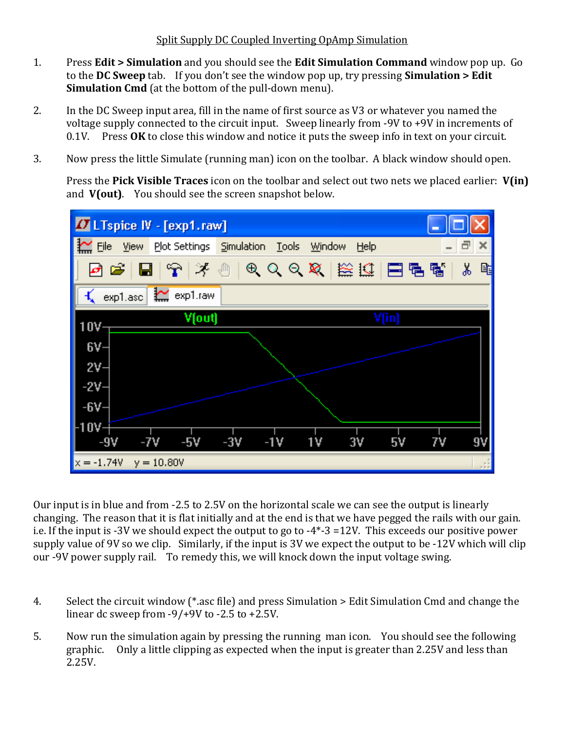- 1. Press **Edit > Simulation** and you should see the **Edit Simulation Command** window pop up. Go to the **DC Sweep** tab. If you don't see the window pop up, try pressing **Simulation > Edit Simulation Cmd** (at the bottom of the pull-down menu).
- 2. In the DC Sweep input area, fill in the name of first source as V3 or whatever you named the voltage supply connected to the circuit input. Sweep linearly from -9V to +9V in increments of 0.1V. Press OK to close this window and notice it puts the sweep info in text on your circuit.
- 3. Now press the little Simulate (running man) icon on the toolbar. A black window should open.

 Press the **Pick Visible Traces** icon on the toolbar and select out two nets we placed earlier: **V(in)** and **V(out)**. You should see the screen snapshot below.



Our input is in blue and from ‐2.5 to 2.5V on the horizontal scale we can see the output is linearly changing. The reason that it is flat initially and at the end is that we have pegged the rails with our gain. i.e. If the input is ‐3V we should expect the output to go to ‐4\*‐3 =12V. This exceeds our positive power supply value of 9V so we clip. Similarly, if the input is 3V we expect the output to be ‐12V which will clip our -9V power supply rail. To remedy this, we will knock down the input voltage swing.

- 4. Select the circuit window (\*.asc file) and press Simulation > Edit Simulation Cmd and change the linear dc sweep from  $-9/+9V$  to  $-2.5$  to  $+2.5V$ .
- 5. Now run the simulation again by pressing the running man icon. You should see the following graphic. Only a little clipping as expected when the input is greater than 2.25V and less than 2.25V.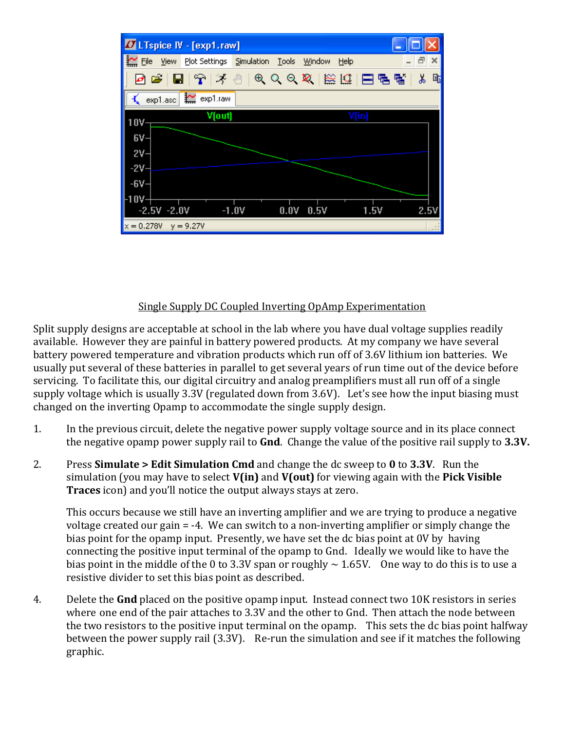

#### Single Supply DC Coupled Inverting OpAmp Experimentation

Split supply designs are acceptable at school in the lab where you have dual voltage supplies readily available. However they are painful in battery powered products. At my company we have several battery powered temperature and vibration products which run off of 3.6V lithium ion batteries. We usually put several of these batteries in parallel to get several years of run time out of the device before servicing. To facilitate this, our digital circuitry and analog preamplifiers must all run off of a single supply voltage which is usually 3.3V (regulated down from 3.6V). Let's see how the input biasing must changed on the inverting Opamp to accommodate the single supply design.

- 1. In the previous circuit, delete the negative power supply voltage source and in its place connect the negative opamp power supply rail to **Gnd**. Change the value of the positive rail supply to **3.3V.**
- 2. Press **Simulate > Edit Simulation Cmd** and change the dc sweep to **0** to **3.3V**. Run the simulation (you may have to select **V(in)** and **V(out)** for viewing again with the **Pick Visible Traces** icon) and you'll notice the output always stays at zero.

 This occurs because we still have an inverting amplifier and we are trying to produce a negative voltage created our gain = ‐4. We can switch to a non‐inverting amplifier or simply change the bias point for the opamp input. Presently, we have set the dc bias point at 0V by having connecting the positive input terminal of the opamp to Gnd. Ideally we would like to have the bias point in the middle of the 0 to 3.3V span or roughly  $\sim$  1.65V. One way to do this is to use a resistive divider to set this bias point as described.

4. Delete the **Gnd** placed on the positive opamp input. Instead connect two 10K resistors in series where one end of the pair attaches to 3.3V and the other to Gnd. Then attach the node between the two resistors to the positive input terminal on the opamp. This sets the dc bias point halfway between the power supply rail (3.3V). Re-run the simulation and see if it matches the following graphic.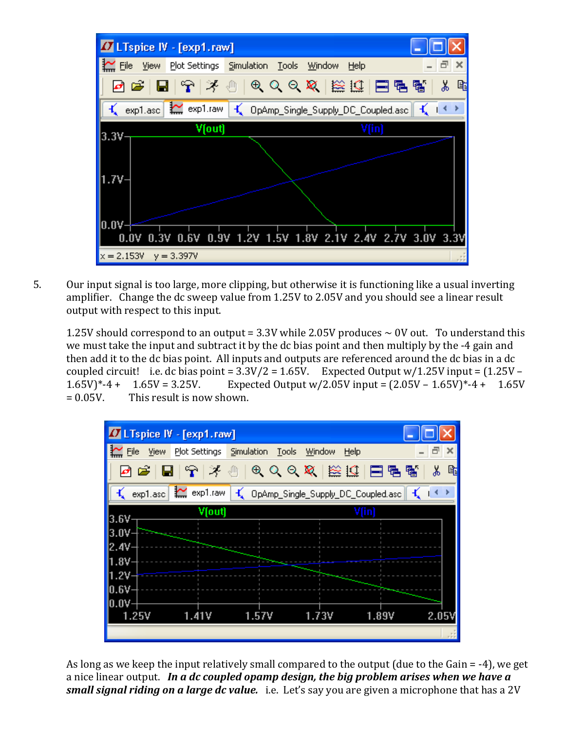

5. Our input signal is too large, more clipping, but otherwise it is functioning like a usual inverting amplifier. Change the dc sweep value from 1.25V to 2.05V and you should see a linear result output with respect to this input.

1.25V should correspond to an output =  $3.3V$  while 2.05V produces  $\sim 0V$  out. To understand this we must take the input and subtract it by the dc bias point and then multiply by the ‐4 gain and then add it to the dc bias point. All inputs and outputs are referenced around the dc bias in a dc coupled circuit! i.e. dc bias point =  $3.3V/2 = 1.65V$ . Expected Output w/1.25V input =  $(1.25V -$ 1.65V)\*-4 + 1.65V = 3.25V. Expected Output w/2.05V input =  $(2.05V - 1.65V)^*$ -4 + 1.65V  $= 0.05V$ . This result is now shown.



 As long as we keep the input relatively small compared to the output (due to the Gain = ‐4), we get a nice linear output. *In a dc coupled opamp design, the big problem arises when we have a small signal riding on a large dc value.*  i.e. Let's say you are given a microphone that has a 2V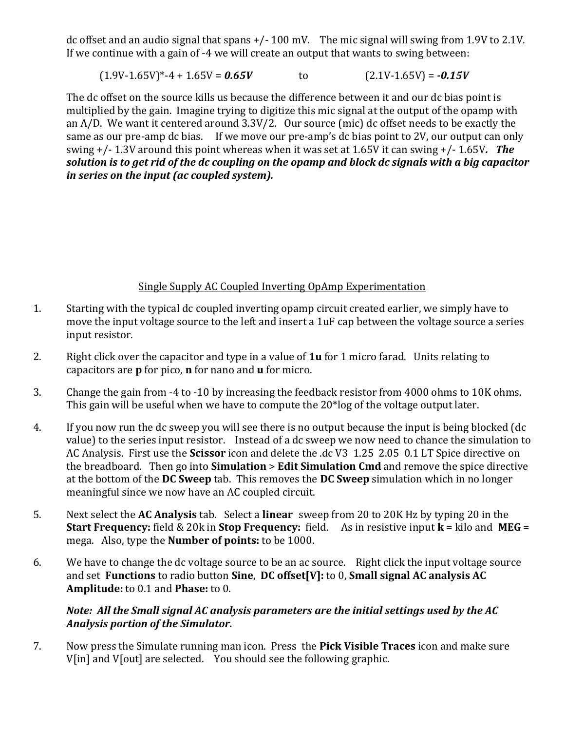dc offset and an audio signal that spans +/‐ 100 mV. The mic signal will swing from 1.9V to 2.1V. If we continue with a gain of ‐4 we will create an output that wants to swing between:

```
(1.9V - 1.65V)^* - 4 + 1.65V = 0.65V to (2.1V - 1.65V) = -0.15V
```
The dc offset on the source kills us because the difference between it and our dc bias point is multiplied by the gain. Imagine trying to digitize this mic signal at the output of the opamp with an A/D. We want it centered around 3.3V/2. Our source (mic) dc offset needs to be exactly the same as our pre-amp dc bias. If we move our pre-amp's dc bias point to 2V, our output can only swing +/‐ 1.3V around this point whereas when it was set at 1.65V it can swing +/‐ 1.65V*. The* solution is to get rid of the dc coupling on the opamp and block dc signals with a big capacitor *in series on the input (ac coupled system).* 

# Single Supply AC Coupled Inverting OpAmp Experimentation

- 1. Starting with the typical dc coupled inverting opamp circuit created earlier, we simply have to move the input voltage source to the left and insert a 1uF cap between the voltage source a series input resistor.
- 2. Right click over the capacitor and type in a value of **1u** for 1 micro farad. Units relating to capacitors are **p** for pico, **n** for nano and **u** for micro.
- 3. Change the gain from ‐4 to ‐10 by increasing the feedback resistor from 4000 ohms to 10K ohms. This gain will be useful when we have to compute the 20\*log of the voltage output later.
- 4. If you now run the dc sweep you will see there is no output because the input is being blocked (dc value) to the series input resistor. Instead of a dc sweep we now need to chance the simulation to AC Analysis. First use the **Scissor** icon and delete the .dc V3 1.25 2.05 0.1 LT Spice directive on the breadboard. Then go into **Simulation** > **Edit Simulation Cmd** and remove the spice directive at the bottom of the **DC Sweep** tab. This removes the **DC Sweep** simulation which in no longer meaningful since we now have an AC coupled circuit.
- 5. Next select the **AC Analysis** tab. Select a **linear** sweep from 20 to 20K Hz by typing 20 in the **Start Frequency:** field & 20k in **Stop Frequency:** field.As in resistive input **k** = kilo and **MEG** = mega. Also, type the **Number of points:** to be 1000.
- 6. We have to change the dc voltage source to be an ac source. Right click the input voltage source and set **Functions** to radio button **Sine**, **DC offset[V]:** to 0, **Small signal AC analysis AC Amplitude:** to 0.1 and **Phase:** to 0.

### *Note: All the Small signal AC analysis parameters are the initial settings used by the AC Analysis portion of the Simulator.*

7. Now press the Simulate running man icon. Press the **Pick Visible Traces** icon and make sure V[in] and V[out] are selected. You should see the following graphic.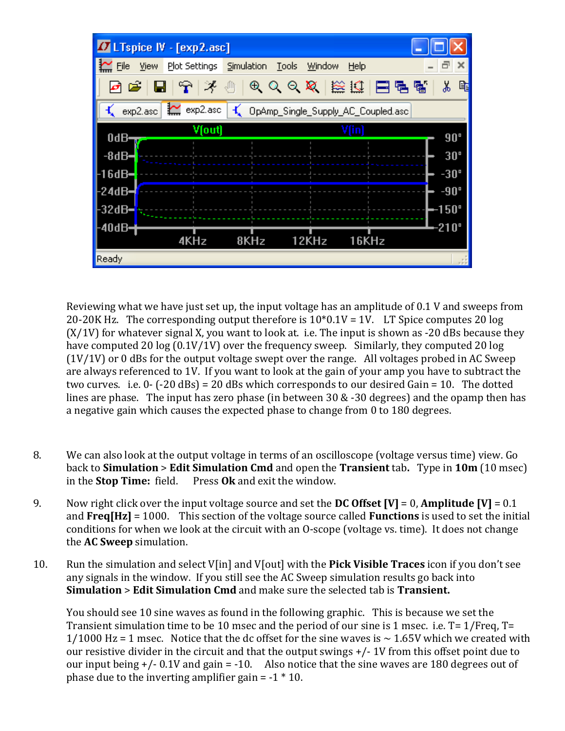

 Reviewing what we have just set up, the input voltage has an amplitude of 0.1 V and sweeps from 20-20K Hz. The corresponding output therefore is  $10*0.1V = 1V$ . LT Spice computes 20 log  $(X/1V)$  for whatever signal X, you want to look at. i.e. The input is shown as -20 dBs because they have computed 20 log (0.1V/1V) over the frequency sweep. Similarly, they computed 20 log  $(1V/1V)$  or 0 dBs for the output voltage swept over the range. All voltages probed in AC Sweep are always referenced to 1V. If you want to look at the gain of your amp you have to subtract the two curves. i.e.  $0 - (-20$  dBs) = 20 dBs which corresponds to our desired Gain = 10. The dotted lines are phase. The input has zero phase (in between 30 & -30 degrees) and the opamp then has a negative gain which causes the expected phase to change from 0 to 180 degrees.

- 8. We can also look at the output voltage in terms of an oscilloscope (voltage versus time) view. Go back to **Simulation** > **Edit Simulation Cmd** and open the **Transient** tab**.** Type in **10m** (10 msec) in the **Stop Time:** field. Press **Ok** and exit the window.
- 9. Now right click over the input voltage source and set the **DC Offset [V]** = 0, **Amplitude [V]** = 0.1 and **Freq[Hz]** = 1000. This section of the voltage source called **Functions** is used to set the initial conditions for when we look at the circuit with an O‐scope (voltage vs. time). It does not change the **AC Sweep** simulation.
- 10. Run the simulation and select V[in] and V[out] with the **Pick Visible Traces** icon if you don't see any signals in the window. If you still see the AC Sweep simulation results go back into **Simulation** > **Edit Simulation Cmd** and make sure the selected tab is **Transient.**

 You should see 10 sine waves as found in the following graphic. This is because we set the Transient simulation time to be 10 msec and the period of our sine is 1 msec. i.e. T= 1/Freq, T=  $1/1000$  Hz = 1 msec. Notice that the dc offset for the sine waves is  $\sim 1.65$ V which we created with our resistive divider in the circuit and that the output swings +/‐ 1V from this offset point due to our input being  $+/- 0.1V$  and gain = -10. Also notice that the sine waves are 180 degrees out of phase due to the inverting amplifier gain  $= -1 * 10$ .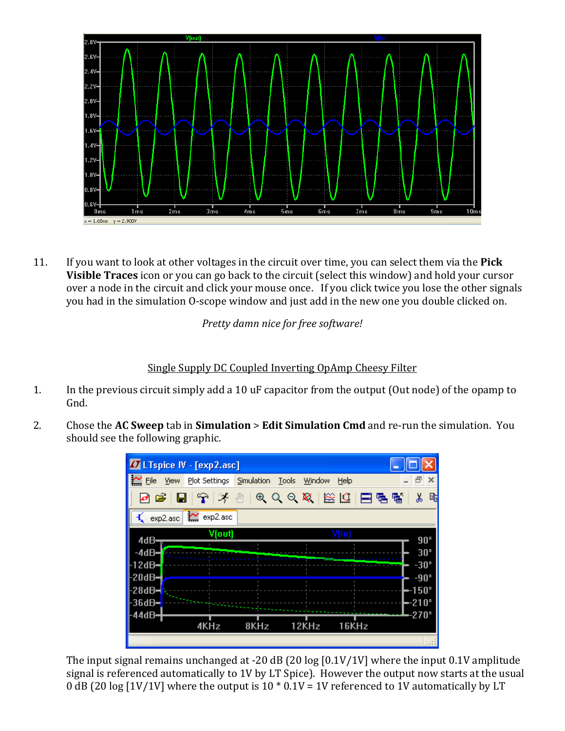

11. If you want to look at other voltages in the circuit over time, you can select them via the **Pick Visible Traces** icon or you can go back to the circuit (select this window) and hold your cursor over a node in the circuit and click your mouse once. If you click twice you lose the other signals you had in the simulation O‐scope window and just add in the new one you double clicked on.

*Pretty damn nice for free software!*

Single Supply DC Coupled Inverting OpAmp Cheesy Filter

- 1. In the previous circuit simply add a 10 uF capacitor from the output (Out node) of the opamp to Gnd.
- 2. Chose the **AC Sweep** tab in **Simulation** > **Edit Simulation Cmd** and re‐run the simulation.You should see the following graphic.



The input signal remains unchanged at -20 dB (20 log [0.1V/1V] where the input 0.1V amplitude signal is referenced automatically to 1V by LT Spice). However the output now starts at the usual 0 dB (20 log [1V/1V] where the output is  $10 * 0.1V = 1V$  referenced to 1V automatically by LT